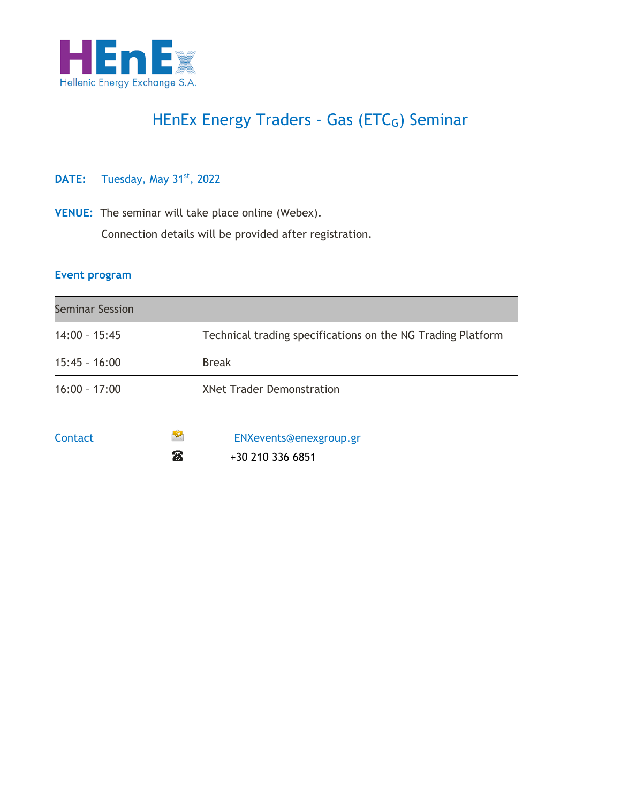

## HEnEx Energy Traders - Gas (ETC<sub>G</sub>) Seminar

## **DATE:** Tuesday, May 31<sup>st</sup>, 2022

**VENUE:** The seminar will take place online (Webex).

Connection details will be provided after registration.

#### **Event program**

| <b>Seminar Session</b> |                                                             |
|------------------------|-------------------------------------------------------------|
| $14:00 - 15:45$        | Technical trading specifications on the NG Trading Platform |
| $15:45 - 16:00$        | <b>Break</b>                                                |
| $16:00 - 17:00$        | <b>XNet Trader Demonstration</b>                            |
|                        |                                                             |

Contact ENXevents@enexgroup.gr

 $\bullet$  +30 210 336 6851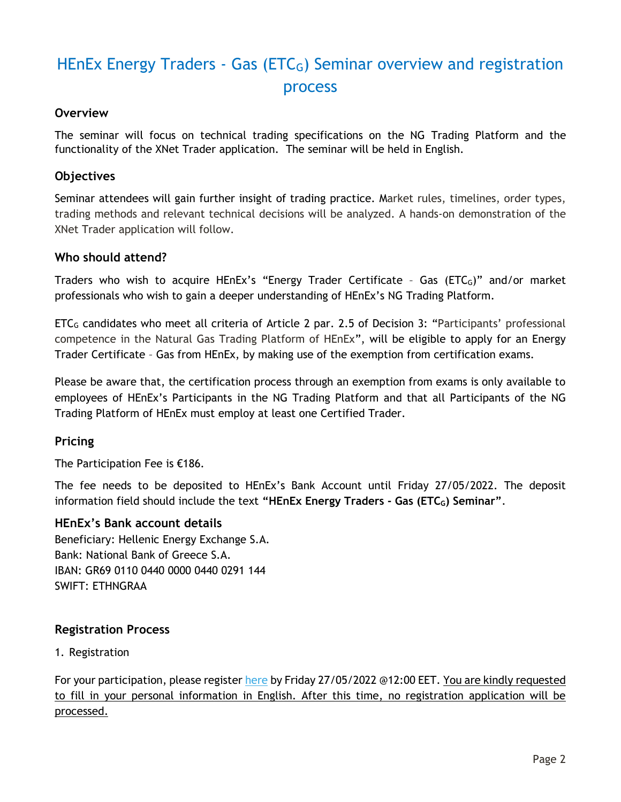# HEnEx Energy Traders - Gas (ETC<sub>G</sub>) Seminar overview and registration process

#### **Overview**

The seminar will focus on technical trading specifications on the NG Trading Platform and the functionality of the XNet Trader application. The seminar will be held in English.

## **Objectives**

Seminar attendees will gain further insight of trading practice. Market rules, timelines, order types, trading methods and relevant technical decisions will be analyzed. A hands-on demonstration of the XNet Trader application will follow.

#### **Who should attend?**

Traders who wish to acquire HEnEx's "Energy Trader Certificate - Gas (ETC<sub>G</sub>)" and/or market professionals who wish to gain a deeper understanding of HEnEx's NG Trading Platform.

ETC<sup>G</sup> candidates who meet all criteria of Article 2 par. 2.5 of Decision 3: "Participants' professional competence in the Natural Gas Trading Platform of HEnEx", will be eligible to apply for an Energy Trader Certificate – Gas from HEnEx, by making use of the exemption from certification exams.

Please be aware that, the certification process through an exemption from exams is only available to employees of HEnEx's Participants in the NG Trading Platform and that all Participants of the NG Trading Platform of HEnEx must employ at least one Certified Trader.

## **Pricing**

The Participation Fee is €186.

The fee needs to be deposited to HEnEx's Bank Account until Friday 27/05/2022. The deposit information field should include the text **"HEnEx Energy Traders - Gas (ETCG) Seminar"**.

#### **HEnEx's Bank account details**

Beneficiary: Hellenic Energy Exchange S.A. Bank: National Bank of Greece S.A. IBAN: GR69 0110 0440 0000 0440 0291 144 SWIFT: ETHNGRAA

## **Registration Process**

1. Registration

For your participation, please register [here](https://www.enexgroup.gr/web/guest/etc-gas-seminar-registration-form) by Friday 27/05/2022 @12:00 EET. You are kindly requested to fill in your personal information in English. After this time, no registration application will be processed.